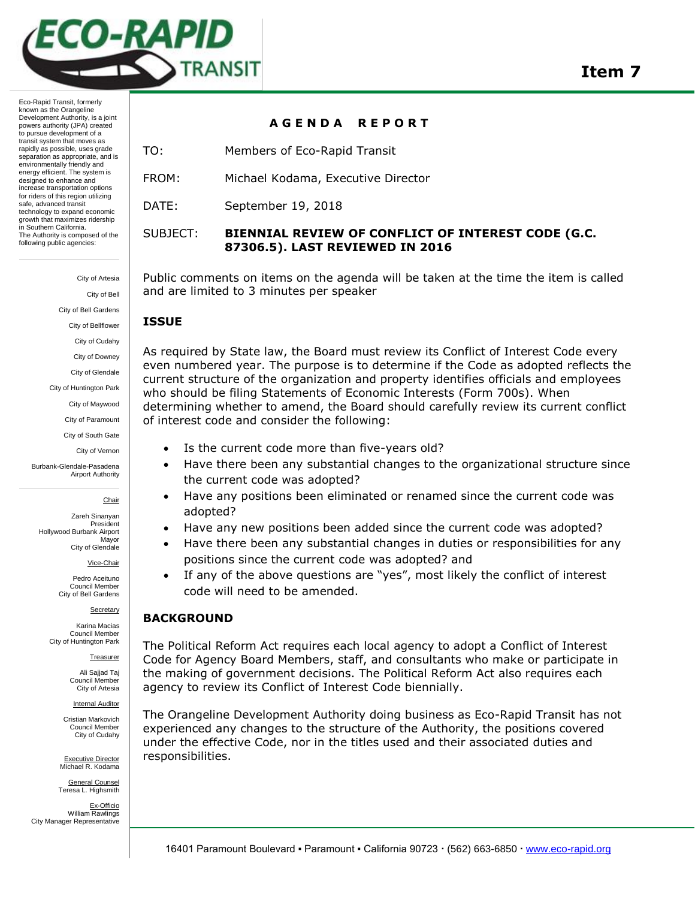

Eco-Rapid Transit, formerly known as the Orangeline Development Authority, is a joint powers authority (JPA) created to pursue development of a transit system that moves as rapidly as possible, uses grade separation as appropriate, and is environmentally friendly and energy efficient. The system is designed to enhance and increase transportation options for riders of this region utilizing safe, advanced transit technology to expand economic growth that maximizes ridership in Southern California. The Authority is composed of the following public agencies:

City of Artesia

City of Bell City of Bell Gardens

City of Bellflower

City of Cudahy

City of Downey

City of Glendale

City of Huntington Park

City of Maywood

City of Paramount

City of South Gate

City of Vernon

Burbank-Glendale-Pasadena Airport Authority

Chair

Zareh Sinanyan President Hollywood Burbank Airport Mayor City of Glendale

Vice-Chair

Pedro Aceituno Council Member City of Bell Gardens

**Secretary** 

Karina Macias Council Member City of Huntington Park

Treasurer

Ali Sajjad Taj Council Member City of Artesia

Internal Auditor

Cristian Markovich Council Member City of Cudahy

Executive Director Michael R. Kodama

General Counsel Teresa L. Highsmith

Ex-Officio William Rawlings City Manager Representative

### **A G E N D A R E P O R T**

TO: Members of Eco-Rapid Transit

FROM: Michael Kodama, Executive Director

DATE: September 19, 2018

# SUBJECT: **BIENNIAL REVIEW OF CONFLICT OF INTEREST CODE (G.C. 87306.5). LAST REVIEWED IN 2016**

Public comments on items on the agenda will be taken at the time the item is called and are limited to 3 minutes per speaker

# **ISSUE**

As required by State law, the Board must review its Conflict of Interest Code every even numbered year. The purpose is to determine if the Code as adopted reflects the current structure of the organization and property identifies officials and employees who should be filing Statements of Economic Interests (Form 700s). When determining whether to amend, the Board should carefully review its current conflict of interest code and consider the following:

- Is the current code more than five-years old?
- Have there been any substantial changes to the organizational structure since the current code was adopted?
- Have any positions been eliminated or renamed since the current code was adopted?
- Have any new positions been added since the current code was adopted?
- Have there been any substantial changes in duties or responsibilities for any positions since the current code was adopted? and
- If any of the above questions are "yes", most likely the conflict of interest code will need to be amended.

# **BACKGROUND**

The Political Reform Act requires each local agency to adopt a Conflict of Interest Code for Agency Board Members, staff, and consultants who make or participate in the making of government decisions. The Political Reform Act also requires each agency to review its Conflict of Interest Code biennially.

The Orangeline Development Authority doing business as Eco-Rapid Transit has not experienced any changes to the structure of the Authority, the positions covered under the effective Code, nor in the titles used and their associated duties and responsibilities.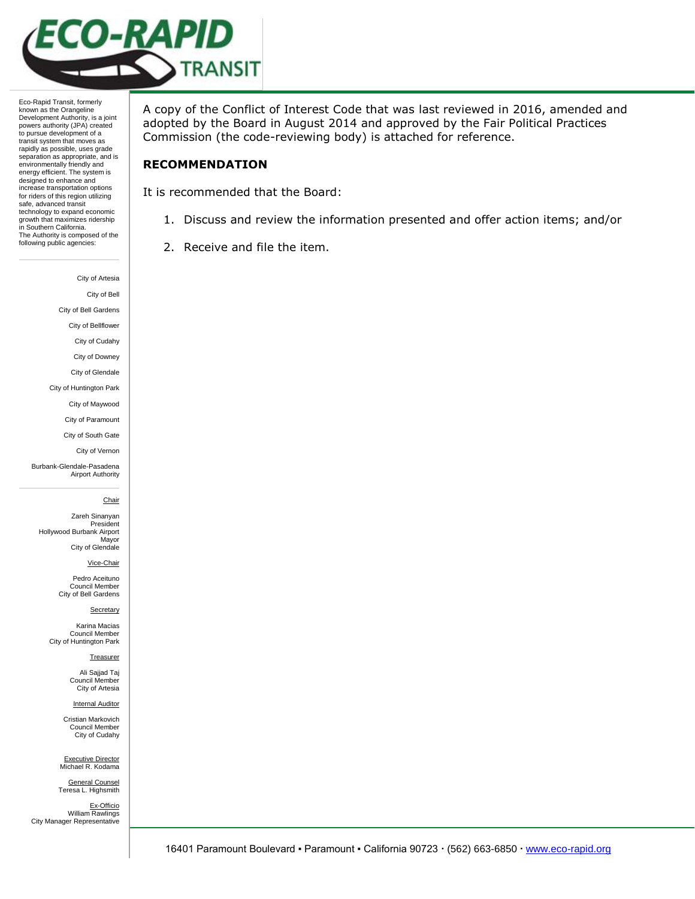

Eco-Rapid Transit, formerly known as the Orangeline Development Authority, is a joint powers authority (JPA) created to pursue development of a transit system that moves as rapidly as possible, uses grade separation as appropriate, and is environmentally friendly and energy efficient. The system is designed to enhance and increase transportation options for riders of this region utilizing safe, advanced transit technology to expand economic growth that maximizes ridership in Southern California. The Authority is composed of the following public agencies:

City of Artesia

City of Bell

City of Bell Gardens

City of Bellflower

City of Cudahy

City of Downey

City of Glendale

City of Huntington Park

City of Maywood

City of Paramount City of South Gate

City of Vernon

Burbank-Glendale-Pasadena Airport Authority

#### **Chair**

Zareh Sinanyan President Hollywood Burbank Airport Mayor City of Glendale

Vice-Chair

Pedro Aceituno Council Member City of Bell Gardens

**Secretary** 

Karina Macias Council Member City of Huntington Park

Treasurer

Ali Sajjad Taj Council Member City of Artesia

Internal Auditor

Cristian Markovich Council Member City of Cudahy

Executive Director Michael R. Kodama General Counsel

Teresa L. Highsmith Ex-Officio William Rawlings City Manager Representative

A copy of the Conflict of Interest Code that was last reviewed in 2016, amended and adopted by the Board in August 2014 and approved by the Fair Political Practices Commission (the code-reviewing body) is attached for reference.

### **RECOMMENDATION**

It is recommended that the Board:

- 1. Discuss and review the information presented and offer action items; and/or
- 2. Receive and file the item.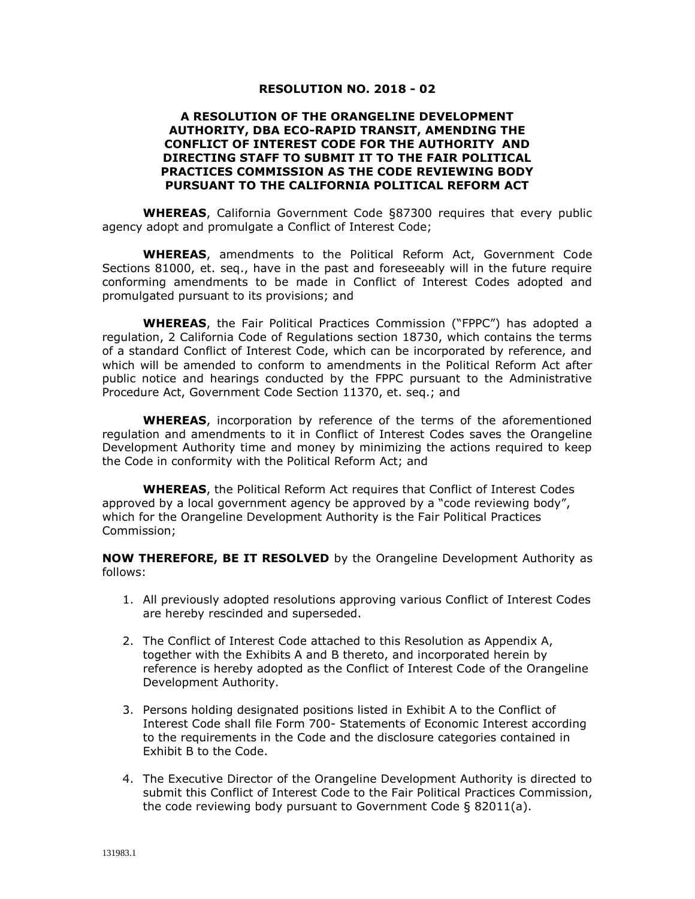#### **RESOLUTION NO. 2018 - 02**

#### **A RESOLUTION OF THE ORANGELINE DEVELOPMENT AUTHORITY, DBA ECO-RAPID TRANSIT, AMENDING THE CONFLICT OF INTEREST CODE FOR THE AUTHORITY AND DIRECTING STAFF TO SUBMIT IT TO THE FAIR POLITICAL PRACTICES COMMISSION AS THE CODE REVIEWING BODY PURSUANT TO THE CALIFORNIA POLITICAL REFORM ACT**

**WHEREAS**, California Government Code §87300 requires that every public agency adopt and promulgate a Conflict of Interest Code;

**WHEREAS**, amendments to the Political Reform Act, Government Code Sections 81000, et. seq., have in the past and foreseeably will in the future require conforming amendments to be made in Conflict of Interest Codes adopted and promulgated pursuant to its provisions; and

**WHEREAS**, the Fair Political Practices Commission ("FPPC") has adopted a regulation, 2 California Code of Regulations section 18730, which contains the terms of a standard Conflict of Interest Code, which can be incorporated by reference, and which will be amended to conform to amendments in the Political Reform Act after public notice and hearings conducted by the FPPC pursuant to the Administrative Procedure Act, Government Code Section 11370, et. seq.; and

**WHEREAS**, incorporation by reference of the terms of the aforementioned regulation and amendments to it in Conflict of Interest Codes saves the Orangeline Development Authority time and money by minimizing the actions required to keep the Code in conformity with the Political Reform Act; and

**WHEREAS**, the Political Reform Act requires that Conflict of Interest Codes approved by a local government agency be approved by a "code reviewing body", which for the Orangeline Development Authority is the Fair Political Practices Commission;

**NOW THEREFORE, BE IT RESOLVED** by the Orangeline Development Authority as follows:

- 1. All previously adopted resolutions approving various Conflict of Interest Codes are hereby rescinded and superseded.
- 2. The Conflict of Interest Code attached to this Resolution as Appendix A, together with the Exhibits A and B thereto, and incorporated herein by reference is hereby adopted as the Conflict of Interest Code of the Orangeline Development Authority.
- 3. Persons holding designated positions listed in Exhibit A to the Conflict of Interest Code shall file Form 700- Statements of Economic Interest according to the requirements in the Code and the disclosure categories contained in Exhibit B to the Code.
- 4. The Executive Director of the Orangeline Development Authority is directed to submit this Conflict of Interest Code to the Fair Political Practices Commission, the code reviewing body pursuant to Government Code § 82011(a).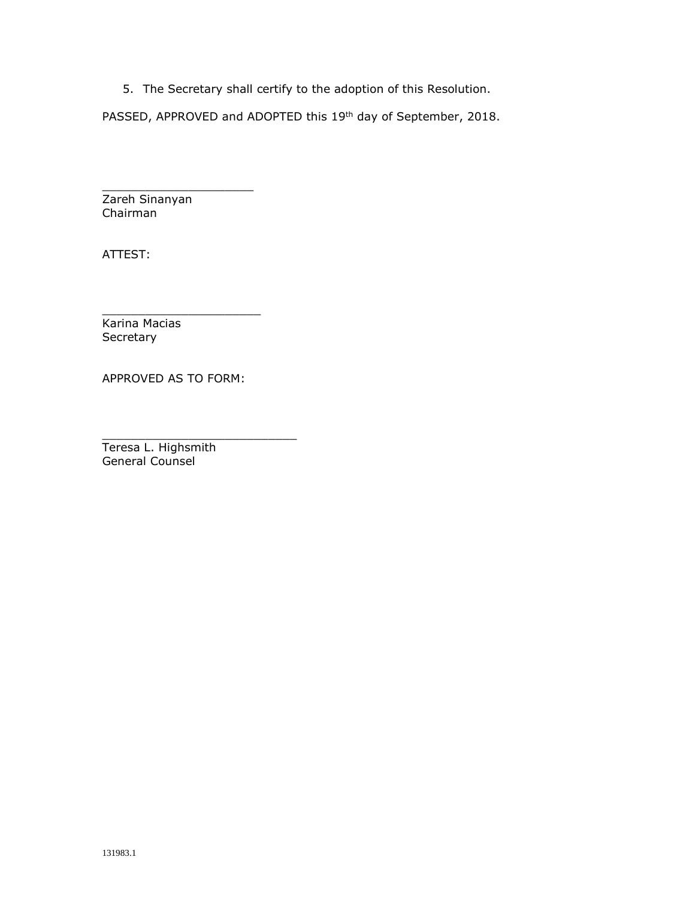5. The Secretary shall certify to the adoption of this Resolution.

PASSED, APPROVED and ADOPTED this 19<sup>th</sup> day of September, 2018.

Zareh Sinanyan Chairman

\_\_\_\_\_\_\_\_\_\_\_\_\_\_\_\_\_\_\_\_\_

ATTEST:

 $\_$ Karina Macias Secretary

APPROVED AS TO FORM:

\_\_\_\_\_\_\_\_\_\_\_\_\_\_\_\_\_\_\_\_\_\_\_\_\_\_\_

Teresa L. Highsmith General Counsel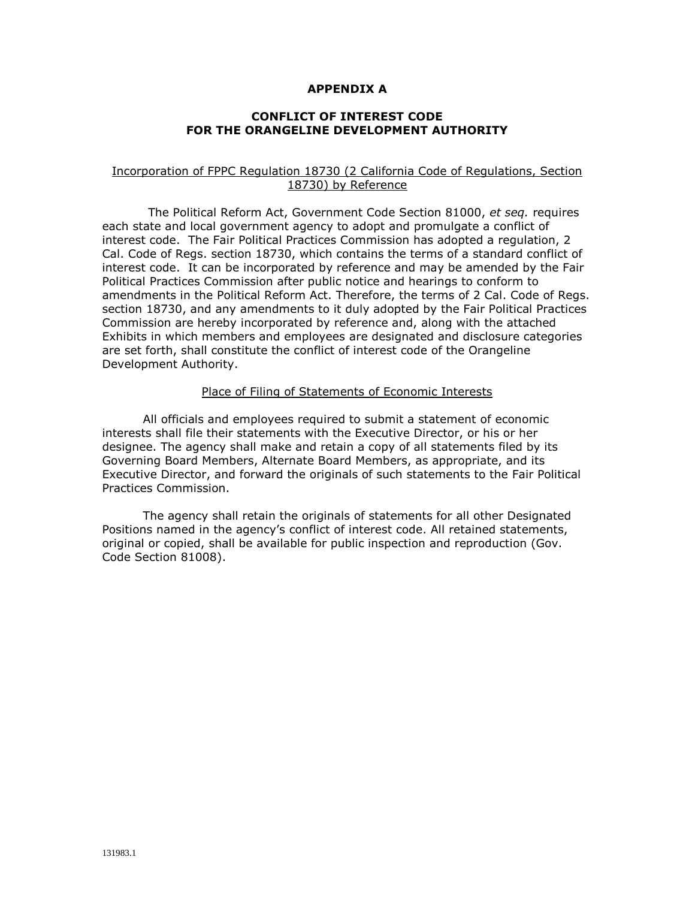#### **APPENDIX A**

#### **CONFLICT OF INTEREST CODE FOR THE ORANGELINE DEVELOPMENT AUTHORITY**

#### Incorporation of FPPC Regulation 18730 (2 California Code of Regulations, Section 18730) by Reference

The Political Reform Act, Government Code Section 81000, *et seq.* requires each state and local government agency to adopt and promulgate a conflict of interest code. The Fair Political Practices Commission has adopted a regulation, 2 Cal. Code of Regs. section 18730, which contains the terms of a standard conflict of interest code. It can be incorporated by reference and may be amended by the Fair Political Practices Commission after public notice and hearings to conform to amendments in the Political Reform Act. Therefore, the terms of 2 Cal. Code of Regs. section 18730, and any amendments to it duly adopted by the Fair Political Practices Commission are hereby incorporated by reference and, along with the attached Exhibits in which members and employees are designated and disclosure categories are set forth, shall constitute the conflict of interest code of the Orangeline Development Authority.

#### Place of Filing of Statements of Economic Interests

All officials and employees required to submit a statement of economic interests shall file their statements with the Executive Director, or his or her designee. The agency shall make and retain a copy of all statements filed by its Governing Board Members, Alternate Board Members, as appropriate, and its Executive Director, and forward the originals of such statements to the Fair Political Practices Commission.

The agency shall retain the originals of statements for all other Designated Positions named in the agency's conflict of interest code. All retained statements, original or copied, shall be available for public inspection and reproduction (Gov. Code Section 81008).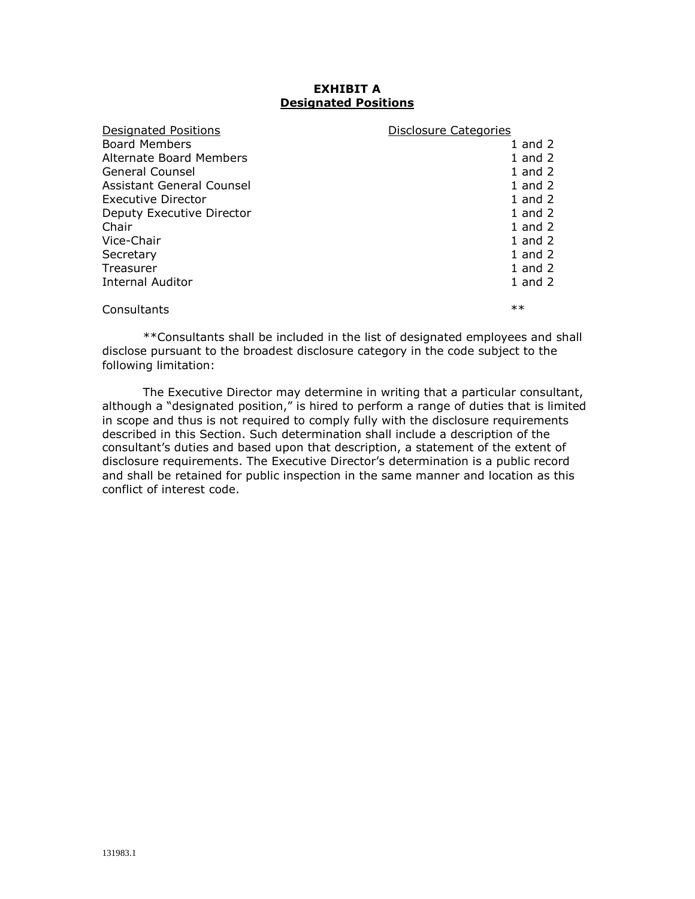# **EXHIBIT A Designated Positions**

| Designated Positions      | <b>Disclosure Categories</b> |
|---------------------------|------------------------------|
| <b>Board Members</b>      | 1 and $2$                    |
| Alternate Board Members   | 1 and $2$                    |
| General Counsel           | $1$ and $2$                  |
| Assistant General Counsel | $1$ and $2$                  |
| Executive Director        | $1$ and $2$                  |
| Deputy Executive Director | $1$ and $2$                  |
| Chair                     | 1 and $2$                    |
| Vice-Chair                | 1 and 2                      |
| Secretary                 | 1 and $2$                    |
| Treasurer                 | 1 and $2$                    |
| Internal Auditor          | 1 and $2$                    |
| Consultants               | $***$                        |

\*\*Consultants shall be included in the list of designated employees and shall disclose pursuant to the broadest disclosure category in the code subject to the following limitation:

The Executive Director may determine in writing that a particular consultant, although a "designated position," is hired to perform a range of duties that is limited in scope and thus is not required to comply fully with the disclosure requirements described in this Section. Such determination shall include a description of the consultant's duties and based upon that description, a statement of the extent of disclosure requirements. The Executive Director's determination is a public record and shall be retained for public inspection in the same manner and location as this conflict of interest code.